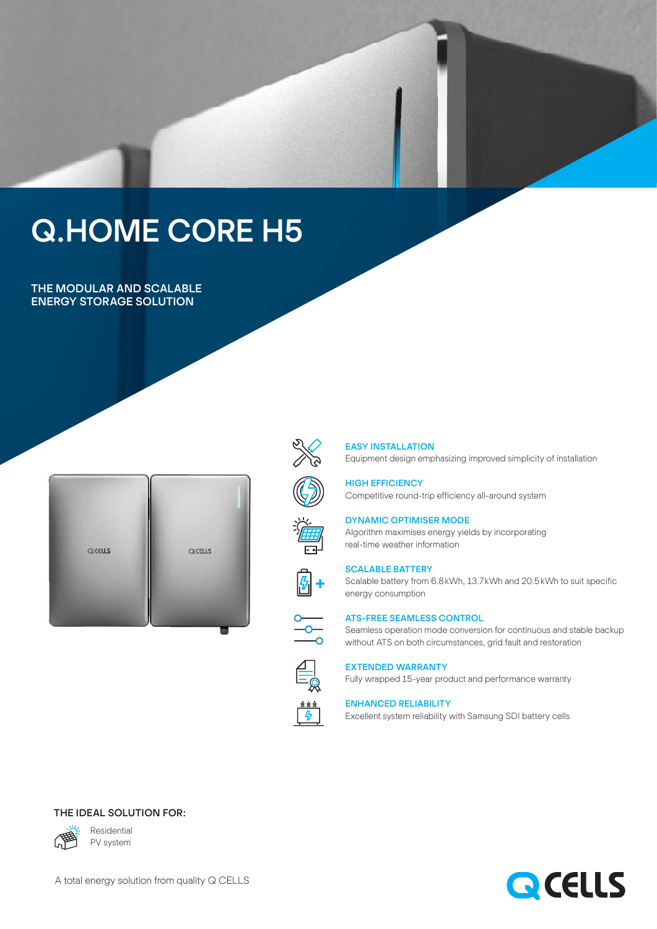# Q.HOME CORE H5

THE MODULAR AND SCALABLE ENERGY STORAGE SOLUTION





## EASY INSTALLATION

Equipment design emphasizing improved simplicity of installation

HIGH EFFICIENCY Competitive round-trip efficiency all-around system

Algorithm maximises energy yields by incorporating



## SCALABLE BATTERY

Scalable battery from 6.8kWh, 13.7kWh and 20.5 kWh to suit specific energy consumption



[5]+

## ATS-FREE SEAMLESS CONTROL

DYNAMIC OPTIMISER MODE

real-time weather information

Seamless operation mode conversion for continuous and stable backup without ATS on both circumstances, grid fault and restoration



# EXTENDED WARRANTY

Fully wrapped 15-year product and performance warranty

### ENHANCED RELIABILITY

Excellent system reliability with Samsung SDI battery cells

## THE IDEAL SOLUTION FOR:



Residential PV system